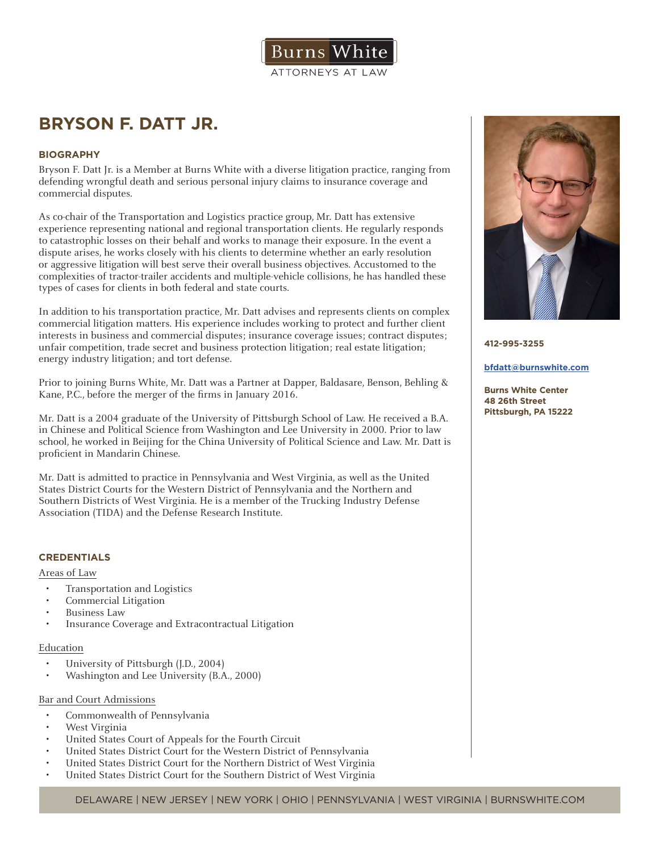

# **BRYSON F. DATT JR.**

## **BIOGRAPHY**

Bryson F. Datt Jr. is a Member at Burns White with a diverse litigation practice, ranging from defending wrongful death and serious personal injury claims to insurance coverage and commercial disputes.

As co-chair of the Transportation and Logistics practice group, Mr. Datt has extensive experience representing national and regional transportation clients. He regularly responds to catastrophic losses on their behalf and works to manage their exposure. In the event a dispute arises, he works closely with his clients to determine whether an early resolution or aggressive litigation will best serve their overall business objectives. Accustomed to the complexities of tractor-trailer accidents and multiple-vehicle collisions, he has handled these types of cases for clients in both federal and state courts.

In addition to his transportation practice, Mr. Datt advises and represents clients on complex commercial litigation matters. His experience includes working to protect and further client interests in business and commercial disputes; insurance coverage issues; contract disputes; unfair competition, trade secret and business protection litigation; real estate litigation; energy industry litigation; and tort defense.

Prior to joining Burns White, Mr. Datt was a Partner at Dapper, Baldasare, Benson, Behling & Kane, P.C., before the merger of the firms in January 2016.

Mr. Datt is a 2004 graduate of the University of Pittsburgh School of Law. He received a B.A. in Chinese and Political Science from Washington and Lee University in 2000. Prior to law school, he worked in Beijing for the China University of Political Science and Law. Mr. Datt is proficient in Mandarin Chinese.

Mr. Datt is admitted to practice in Pennsylvania and West Virginia, as well as the United States District Courts for the Western District of Pennsylvania and the Northern and Southern Districts of West Virginia. He is a member of the Trucking Industry Defense Association (TIDA) and the Defense Research Institute.

# **CREDENTIALS**

## Areas of Law

- Transportation and Logistics
- Commercial Litigation
- Business Law
- Insurance Coverage and Extracontractual Litigation

## Education

- University of Pittsburgh (J.D., 2004)
- Washington and Lee University (B.A., 2000)

## Bar and Court Admissions

- Commonwealth of Pennsylvania
- West Virginia
- United States Court of Appeals for the Fourth Circuit
- United States District Court for the Western District of Pennsylvania
- United States District Court for the Northern District of West Virginia
- United States District Court for the Southern District of West Virginia



**412-995-3255**

#### **bfdatt@burnswhite.com**

**Burns White Center 48 26th Street Pittsburgh, PA 15222**